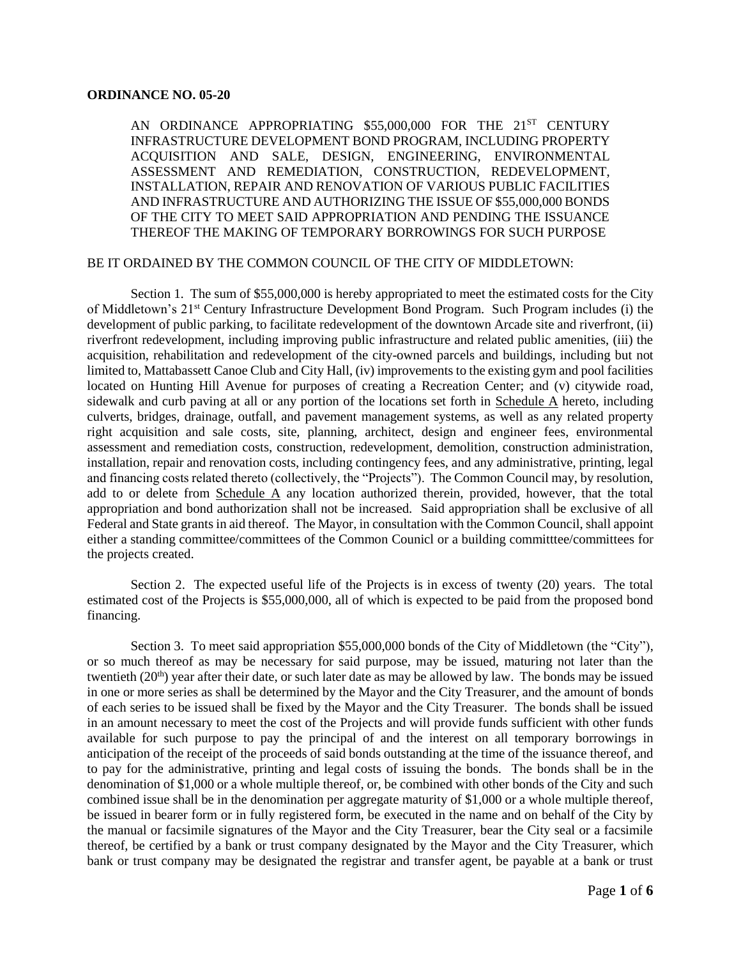## **ORDINANCE NO. 05-20**

AN ORDINANCE APPROPRIATING \$55,000,000 FOR THE 21<sup>ST</sup> CENTURY INFRASTRUCTURE DEVELOPMENT BOND PROGRAM, INCLUDING PROPERTY ACQUISITION AND SALE, DESIGN, ENGINEERING, ENVIRONMENTAL ASSESSMENT AND REMEDIATION, CONSTRUCTION, REDEVELOPMENT, INSTALLATION, REPAIR AND RENOVATION OF VARIOUS PUBLIC FACILITIES AND INFRASTRUCTURE AND AUTHORIZING THE ISSUE OF \$55,000,000 BONDS OF THE CITY TO MEET SAID APPROPRIATION AND PENDING THE ISSUANCE THEREOF THE MAKING OF TEMPORARY BORROWINGS FOR SUCH PURPOSE

## BE IT ORDAINED BY THE COMMON COUNCIL OF THE CITY OF MIDDLETOWN:

Section 1. The sum of \$55,000,000 is hereby appropriated to meet the estimated costs for the City of Middletown's 21st Century Infrastructure Development Bond Program. Such Program includes (i) the development of public parking, to facilitate redevelopment of the downtown Arcade site and riverfront, (ii) riverfront redevelopment, including improving public infrastructure and related public amenities, (iii) the acquisition, rehabilitation and redevelopment of the city-owned parcels and buildings, including but not limited to, Mattabassett Canoe Club and City Hall, (iv) improvements to the existing gym and pool facilities located on Hunting Hill Avenue for purposes of creating a Recreation Center; and (v) citywide road, sidewalk and curb paving at all or any portion of the locations set forth in Schedule A hereto, including culverts, bridges, drainage, outfall, and pavement management systems, as well as any related property right acquisition and sale costs, site, planning, architect, design and engineer fees, environmental assessment and remediation costs, construction, redevelopment, demolition, construction administration, installation, repair and renovation costs, including contingency fees, and any administrative, printing, legal and financing costs related thereto (collectively, the "Projects"). The Common Council may, by resolution, add to or delete from Schedule A any location authorized therein, provided, however, that the total appropriation and bond authorization shall not be increased. Said appropriation shall be exclusive of all Federal and State grants in aid thereof. The Mayor, in consultation with the Common Council, shall appoint either a standing committee/committees of the Common Counicl or a building committee/committees for the projects created.

Section 2. The expected useful life of the Projects is in excess of twenty (20) years. The total estimated cost of the Projects is \$55,000,000, all of which is expected to be paid from the proposed bond financing.

Section 3. To meet said appropriation \$55,000,000 bonds of the City of Middletown (the "City"), or so much thereof as may be necessary for said purpose, may be issued, maturing not later than the twentieth  $(20<sup>th</sup>)$  year after their date, or such later date as may be allowed by law. The bonds may be issued in one or more series as shall be determined by the Mayor and the City Treasurer, and the amount of bonds of each series to be issued shall be fixed by the Mayor and the City Treasurer. The bonds shall be issued in an amount necessary to meet the cost of the Projects and will provide funds sufficient with other funds available for such purpose to pay the principal of and the interest on all temporary borrowings in anticipation of the receipt of the proceeds of said bonds outstanding at the time of the issuance thereof, and to pay for the administrative, printing and legal costs of issuing the bonds. The bonds shall be in the denomination of \$1,000 or a whole multiple thereof, or, be combined with other bonds of the City and such combined issue shall be in the denomination per aggregate maturity of \$1,000 or a whole multiple thereof, be issued in bearer form or in fully registered form, be executed in the name and on behalf of the City by the manual or facsimile signatures of the Mayor and the City Treasurer, bear the City seal or a facsimile thereof, be certified by a bank or trust company designated by the Mayor and the City Treasurer, which bank or trust company may be designated the registrar and transfer agent, be payable at a bank or trust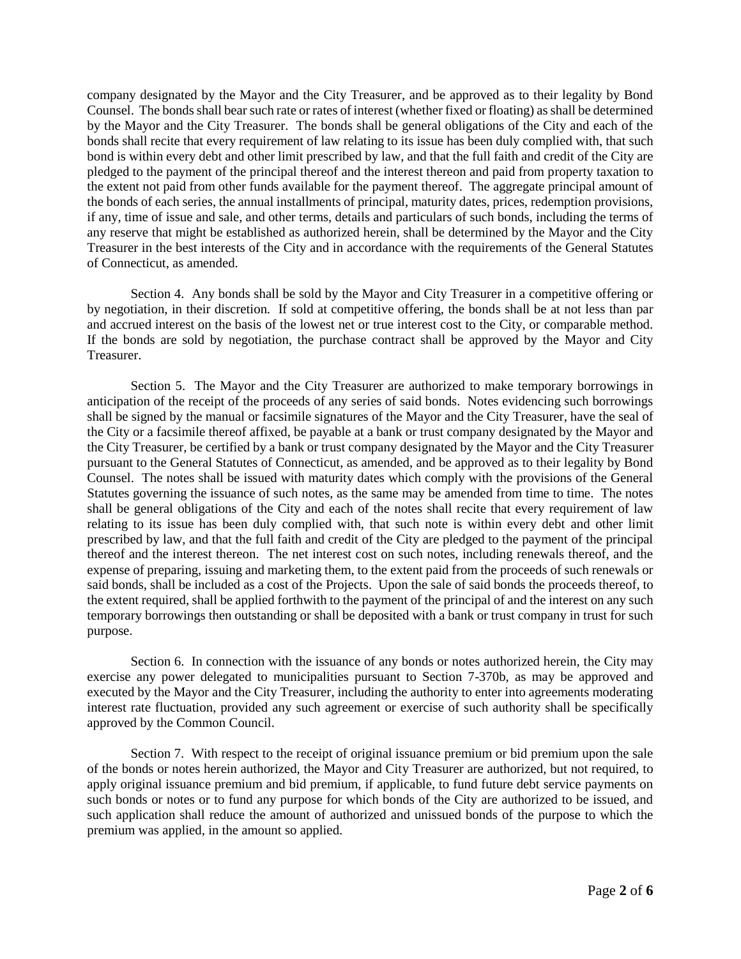company designated by the Mayor and the City Treasurer, and be approved as to their legality by Bond Counsel. The bonds shall bear such rate or rates of interest (whether fixed or floating) as shall be determined by the Mayor and the City Treasurer. The bonds shall be general obligations of the City and each of the bonds shall recite that every requirement of law relating to its issue has been duly complied with, that such bond is within every debt and other limit prescribed by law, and that the full faith and credit of the City are pledged to the payment of the principal thereof and the interest thereon and paid from property taxation to the extent not paid from other funds available for the payment thereof. The aggregate principal amount of the bonds of each series, the annual installments of principal, maturity dates, prices, redemption provisions, if any, time of issue and sale, and other terms, details and particulars of such bonds, including the terms of any reserve that might be established as authorized herein, shall be determined by the Mayor and the City Treasurer in the best interests of the City and in accordance with the requirements of the General Statutes of Connecticut, as amended.

Section 4. Any bonds shall be sold by the Mayor and City Treasurer in a competitive offering or by negotiation, in their discretion. If sold at competitive offering, the bonds shall be at not less than par and accrued interest on the basis of the lowest net or true interest cost to the City, or comparable method. If the bonds are sold by negotiation, the purchase contract shall be approved by the Mayor and City Treasurer.

Section 5. The Mayor and the City Treasurer are authorized to make temporary borrowings in anticipation of the receipt of the proceeds of any series of said bonds. Notes evidencing such borrowings shall be signed by the manual or facsimile signatures of the Mayor and the City Treasurer, have the seal of the City or a facsimile thereof affixed, be payable at a bank or trust company designated by the Mayor and the City Treasurer, be certified by a bank or trust company designated by the Mayor and the City Treasurer pursuant to the General Statutes of Connecticut, as amended, and be approved as to their legality by Bond Counsel. The notes shall be issued with maturity dates which comply with the provisions of the General Statutes governing the issuance of such notes, as the same may be amended from time to time. The notes shall be general obligations of the City and each of the notes shall recite that every requirement of law relating to its issue has been duly complied with, that such note is within every debt and other limit prescribed by law, and that the full faith and credit of the City are pledged to the payment of the principal thereof and the interest thereon. The net interest cost on such notes, including renewals thereof, and the expense of preparing, issuing and marketing them, to the extent paid from the proceeds of such renewals or said bonds, shall be included as a cost of the Projects. Upon the sale of said bonds the proceeds thereof, to the extent required, shall be applied forthwith to the payment of the principal of and the interest on any such temporary borrowings then outstanding or shall be deposited with a bank or trust company in trust for such purpose.

Section 6. In connection with the issuance of any bonds or notes authorized herein, the City may exercise any power delegated to municipalities pursuant to Section 7-370b, as may be approved and executed by the Mayor and the City Treasurer, including the authority to enter into agreements moderating interest rate fluctuation, provided any such agreement or exercise of such authority shall be specifically approved by the Common Council.

Section 7. With respect to the receipt of original issuance premium or bid premium upon the sale of the bonds or notes herein authorized, the Mayor and City Treasurer are authorized, but not required, to apply original issuance premium and bid premium, if applicable, to fund future debt service payments on such bonds or notes or to fund any purpose for which bonds of the City are authorized to be issued, and such application shall reduce the amount of authorized and unissued bonds of the purpose to which the premium was applied, in the amount so applied.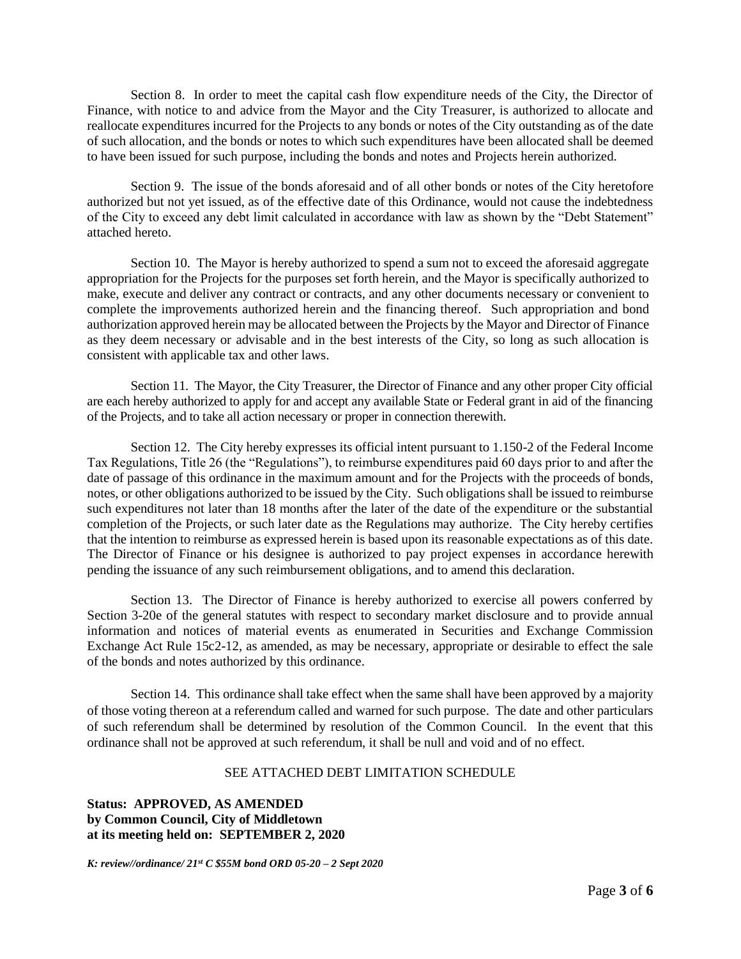Section 8. In order to meet the capital cash flow expenditure needs of the City, the Director of Finance, with notice to and advice from the Mayor and the City Treasurer, is authorized to allocate and reallocate expenditures incurred for the Projects to any bonds or notes of the City outstanding as of the date of such allocation, and the bonds or notes to which such expenditures have been allocated shall be deemed to have been issued for such purpose, including the bonds and notes and Projects herein authorized.

Section 9. The issue of the bonds aforesaid and of all other bonds or notes of the City heretofore authorized but not yet issued, as of the effective date of this Ordinance, would not cause the indebtedness of the City to exceed any debt limit calculated in accordance with law as shown by the "Debt Statement" attached hereto.

Section 10. The Mayor is hereby authorized to spend a sum not to exceed the aforesaid aggregate appropriation for the Projects for the purposes set forth herein, and the Mayor is specifically authorized to make, execute and deliver any contract or contracts, and any other documents necessary or convenient to complete the improvements authorized herein and the financing thereof. Such appropriation and bond authorization approved herein may be allocated between the Projects by the Mayor and Director of Finance as they deem necessary or advisable and in the best interests of the City, so long as such allocation is consistent with applicable tax and other laws.

Section 11. The Mayor, the City Treasurer, the Director of Finance and any other proper City official are each hereby authorized to apply for and accept any available State or Federal grant in aid of the financing of the Projects, and to take all action necessary or proper in connection therewith.

Section 12. The City hereby expresses its official intent pursuant to 1.150-2 of the Federal Income Tax Regulations, Title 26 (the "Regulations"), to reimburse expenditures paid 60 days prior to and after the date of passage of this ordinance in the maximum amount and for the Projects with the proceeds of bonds, notes, or other obligations authorized to be issued by the City. Such obligations shall be issued to reimburse such expenditures not later than 18 months after the later of the date of the expenditure or the substantial completion of the Projects, or such later date as the Regulations may authorize. The City hereby certifies that the intention to reimburse as expressed herein is based upon its reasonable expectations as of this date. The Director of Finance or his designee is authorized to pay project expenses in accordance herewith pending the issuance of any such reimbursement obligations, and to amend this declaration.

Section 13. The Director of Finance is hereby authorized to exercise all powers conferred by Section 3-20e of the general statutes with respect to secondary market disclosure and to provide annual information and notices of material events as enumerated in Securities and Exchange Commission Exchange Act Rule 15c2-12, as amended, as may be necessary, appropriate or desirable to effect the sale of the bonds and notes authorized by this ordinance.

Section 14. This ordinance shall take effect when the same shall have been approved by a majority of those voting thereon at a referendum called and warned for such purpose. The date and other particulars of such referendum shall be determined by resolution of the Common Council. In the event that this ordinance shall not be approved at such referendum, it shall be null and void and of no effect.

## SEE ATTACHED DEBT LIMITATION SCHEDULE

**Status: APPROVED, AS AMENDED by Common Council, City of Middletown at its meeting held on: SEPTEMBER 2, 2020** 

*K: review//ordinance/ 21st C \$55M bond ORD 05-20 – 2 Sept 2020*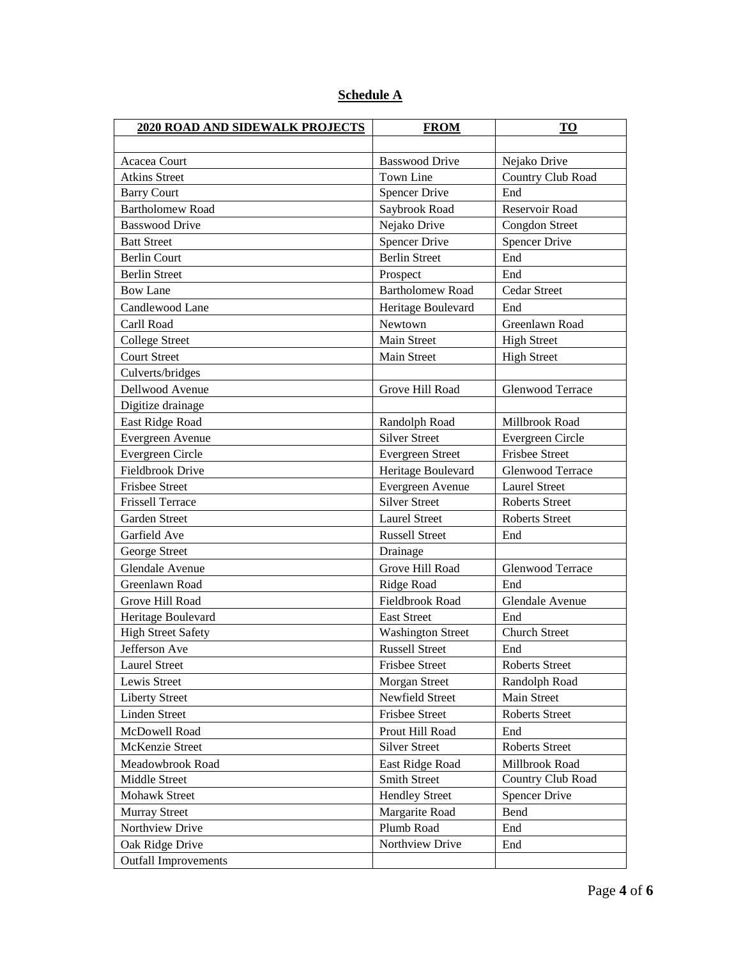| Schedule A |  |
|------------|--|
|            |  |

| <b>2020 ROAD AND SIDEWALK PROJECTS</b> | <b>FROM</b>              | <b>TO</b>               |
|----------------------------------------|--------------------------|-------------------------|
|                                        |                          |                         |
| Acacea Court                           | <b>Basswood Drive</b>    | Nejako Drive            |
| <b>Atkins Street</b>                   | Town Line                | Country Club Road       |
| <b>Barry Court</b>                     | <b>Spencer Drive</b>     | End                     |
| <b>Bartholomew Road</b>                | Saybrook Road            | Reservoir Road          |
| <b>Basswood Drive</b>                  | Nejako Drive             | <b>Congdon Street</b>   |
| <b>Batt Street</b>                     | <b>Spencer Drive</b>     | <b>Spencer Drive</b>    |
| <b>Berlin Court</b>                    | <b>Berlin Street</b>     | End                     |
| <b>Berlin Street</b>                   | Prospect                 | End                     |
| <b>Bow Lane</b>                        | <b>Bartholomew Road</b>  | Cedar Street            |
| Candlewood Lane                        | Heritage Boulevard       | End                     |
| Carll Road                             | Newtown                  | Greenlawn Road          |
| <b>College Street</b>                  | Main Street              | <b>High Street</b>      |
| <b>Court Street</b>                    | Main Street              | <b>High Street</b>      |
| Culverts/bridges                       |                          |                         |
| Dellwood Avenue                        | Grove Hill Road          | <b>Glenwood Terrace</b> |
| Digitize drainage                      |                          |                         |
| East Ridge Road                        | Randolph Road            | Millbrook Road          |
| Evergreen Avenue                       | <b>Silver Street</b>     | Evergreen Circle        |
| Evergreen Circle                       | <b>Evergreen Street</b>  | <b>Frisbee Street</b>   |
| Fieldbrook Drive                       | Heritage Boulevard       | <b>Glenwood Terrace</b> |
| <b>Frisbee Street</b>                  | Evergreen Avenue         | <b>Laurel Street</b>    |
| <b>Frissell Terrace</b>                | <b>Silver Street</b>     | <b>Roberts Street</b>   |
| Garden Street                          | <b>Laurel Street</b>     | <b>Roberts Street</b>   |
| Garfield Ave                           | <b>Russell Street</b>    | End                     |
| George Street                          | Drainage                 |                         |
| Glendale Avenue                        | Grove Hill Road          | <b>Glenwood Terrace</b> |
| Greenlawn Road                         | Ridge Road               | End                     |
| Grove Hill Road                        | Fieldbrook Road          | Glendale Avenue         |
| Heritage Boulevard                     | <b>East Street</b>       | End                     |
| <b>High Street Safety</b>              | <b>Washington Street</b> | <b>Church Street</b>    |
| Jefferson Ave                          | <b>Russell Street</b>    | End                     |
| <b>Laurel Street</b>                   | Frisbee Street           | Roberts Street          |
| Lewis Street                           | Morgan Street            | Randolph Road           |
| <b>Liberty Street</b>                  | Newfield Street          | Main Street             |
| <b>Linden Street</b>                   | Frisbee Street           | Roberts Street          |
| McDowell Road                          | Prout Hill Road          | End                     |
| McKenzie Street                        | <b>Silver Street</b>     | Roberts Street          |
| Meadowbrook Road                       | East Ridge Road          | Millbrook Road          |
| Middle Street                          | Smith Street             | Country Club Road       |
| Mohawk Street                          | <b>Hendley Street</b>    | <b>Spencer Drive</b>    |
| <b>Murray Street</b>                   | Margarite Road           | Bend                    |
| Northview Drive                        | Plumb Road               | End                     |
| Oak Ridge Drive                        | Northview Drive          | End                     |
| <b>Outfall Improvements</b>            |                          |                         |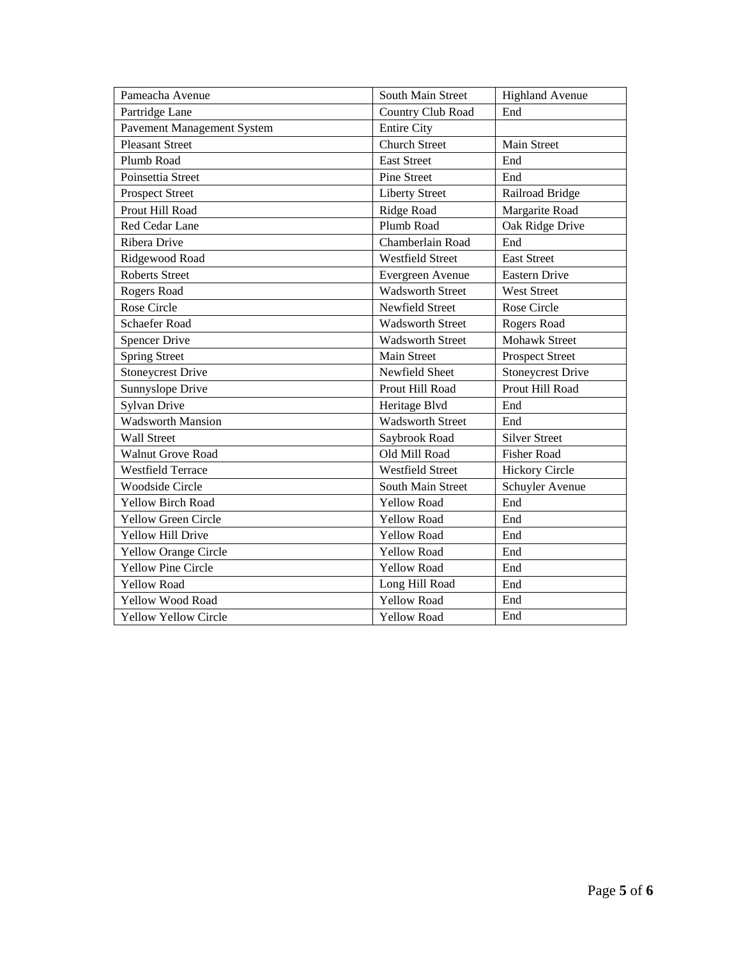| Pameacha Avenue             | South Main Street       | <b>Highland Avenue</b>   |
|-----------------------------|-------------------------|--------------------------|
| Partridge Lane              | Country Club Road       | End                      |
| Pavement Management System  | <b>Entire City</b>      |                          |
| <b>Pleasant Street</b>      | <b>Church Street</b>    | Main Street              |
| Plumb Road                  | <b>East Street</b>      | End                      |
| Poinsettia Street           | <b>Pine Street</b>      | End                      |
| <b>Prospect Street</b>      | <b>Liberty Street</b>   | Railroad Bridge          |
| Prout Hill Road             | Ridge Road              | Margarite Road           |
| Red Cedar Lane              | Plumb Road              | Oak Ridge Drive          |
| Ribera Drive                | Chamberlain Road        | End                      |
| Ridgewood Road              | <b>Westfield Street</b> | <b>East Street</b>       |
| <b>Roberts Street</b>       | Evergreen Avenue        | <b>Eastern Drive</b>     |
| Rogers Road                 | <b>Wadsworth Street</b> | <b>West Street</b>       |
| Rose Circle                 | <b>Newfield Street</b>  | Rose Circle              |
| <b>Schaefer Road</b>        | <b>Wadsworth Street</b> | Rogers Road              |
| <b>Spencer Drive</b>        | <b>Wadsworth Street</b> | <b>Mohawk Street</b>     |
| <b>Spring Street</b>        | <b>Main Street</b>      | <b>Prospect Street</b>   |
| <b>Stoneycrest Drive</b>    | Newfield Sheet          | <b>Stoneycrest Drive</b> |
| Sunnyslope Drive            | Prout Hill Road         | Prout Hill Road          |
| <b>Sylvan Drive</b>         | Heritage Blvd           | End                      |
| <b>Wadsworth Mansion</b>    | <b>Wadsworth Street</b> | End                      |
| <b>Wall Street</b>          | Saybrook Road           | <b>Silver Street</b>     |
| <b>Walnut Grove Road</b>    | Old Mill Road           | <b>Fisher Road</b>       |
| <b>Westfield Terrace</b>    | <b>Westfield Street</b> | <b>Hickory Circle</b>    |
| <b>Woodside Circle</b>      | South Main Street       | Schuyler Avenue          |
| <b>Yellow Birch Road</b>    | <b>Yellow Road</b>      | End                      |
| <b>Yellow Green Circle</b>  | <b>Yellow Road</b>      | End                      |
| Yellow Hill Drive           | <b>Yellow Road</b>      | End                      |
| <b>Yellow Orange Circle</b> | <b>Yellow Road</b>      | End                      |
| <b>Yellow Pine Circle</b>   | <b>Yellow Road</b>      | End                      |
| <b>Yellow Road</b>          | Long Hill Road          | End                      |
| Yellow Wood Road            | <b>Yellow Road</b>      | End                      |
| <b>Yellow Yellow Circle</b> | Yellow Road             | End                      |